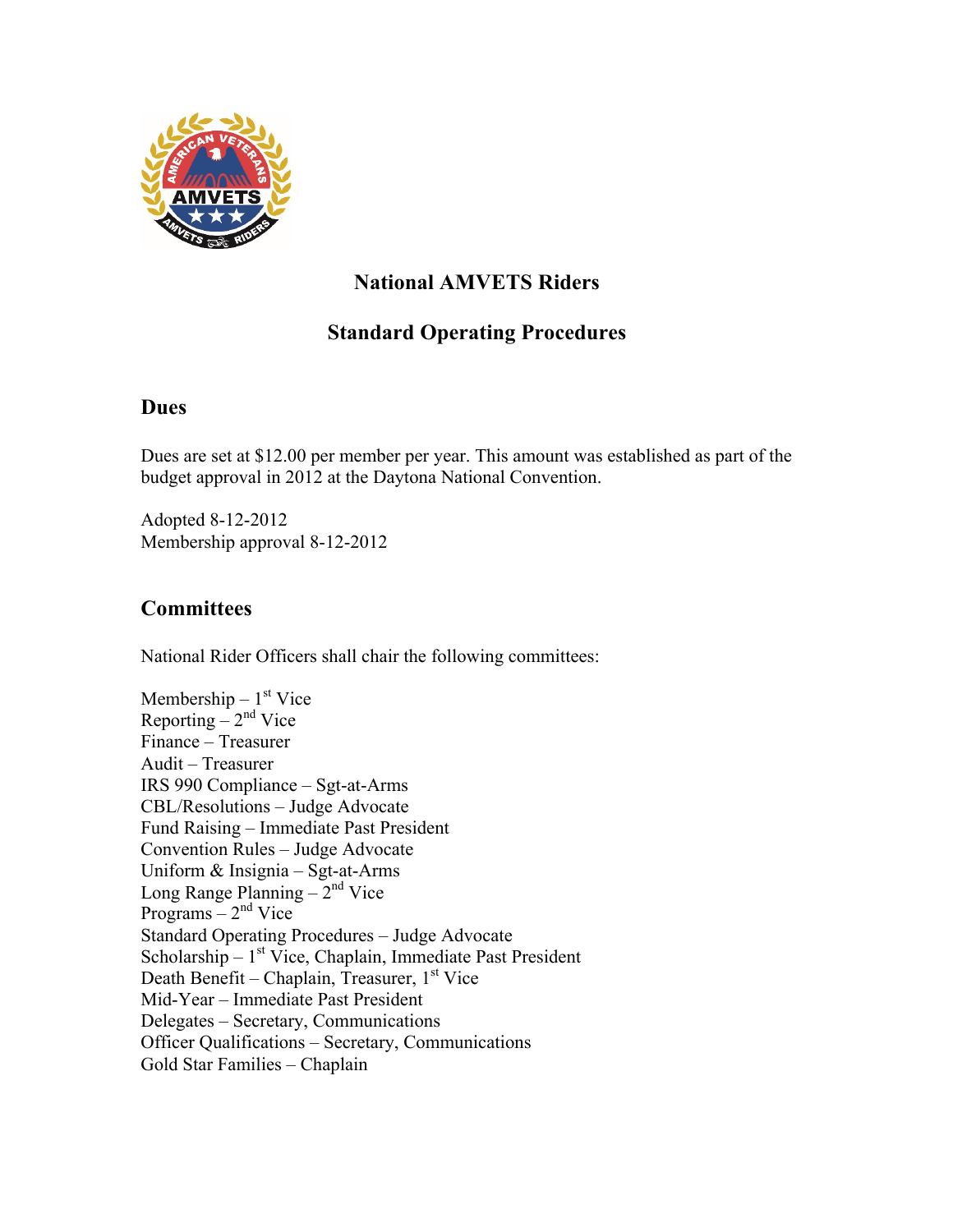

# **National AMVETS Riders**

# **Standard Operating Procedures**

### **Dues**

Dues are set at \$12.00 per member per year. This amount was established as part of the budget approval in 2012 at the Daytona National Convention.

Adopted 8-12-2012 Membership approval 8-12-2012

## **Committees**

National Rider Officers shall chair the following committees:

Membership –  $1<sup>st</sup>$  Vice Reporting  $-2<sup>nd</sup>$  Vice Finance – Treasurer Audit – Treasurer IRS 990 Compliance – Sgt-at-Arms CBL/Resolutions – Judge Advocate Fund Raising – Immediate Past President Convention Rules – Judge Advocate Uniform & Insignia – Sgt-at-Arms Long Range Planning  $-2<sup>nd</sup>$  Vice Programs  $-2<sup>nd</sup>$  Vice Standard Operating Procedures – Judge Advocate Scholarship –  $1<sup>st</sup>$  Vice, Chaplain, Immediate Past President Death Benefit – Chaplain, Treasurer,  $1<sup>st</sup>$  Vice Mid-Year – Immediate Past President Delegates – Secretary, Communications Officer Qualifications – Secretary, Communications Gold Star Families – Chaplain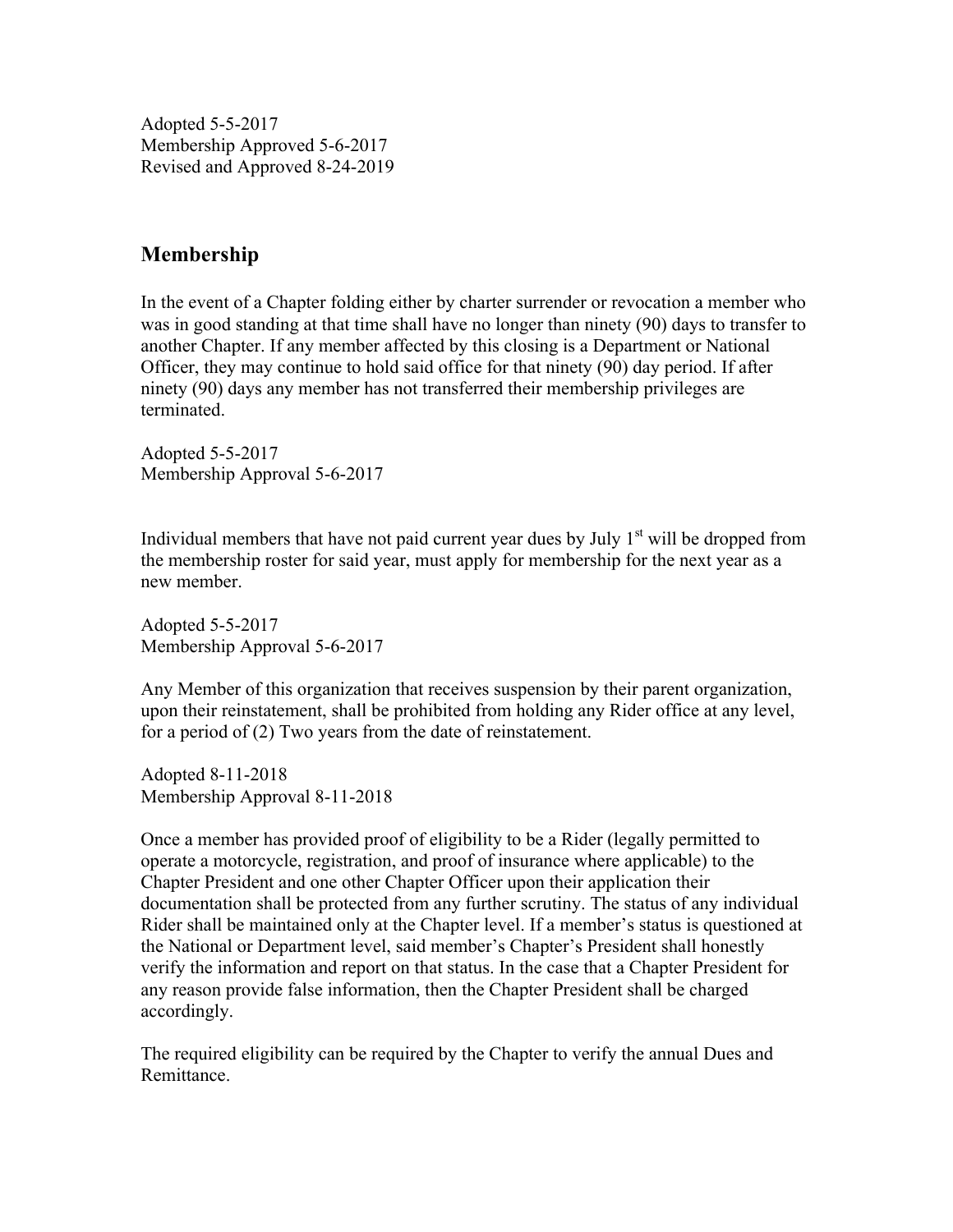Adopted 5-5-2017 Membership Approved 5-6-2017 Revised and Approved 8-24-2019

## **Membership**

In the event of a Chapter folding either by charter surrender or revocation a member who was in good standing at that time shall have no longer than ninety (90) days to transfer to another Chapter. If any member affected by this closing is a Department or National Officer, they may continue to hold said office for that ninety (90) day period. If after ninety (90) days any member has not transferred their membership privileges are terminated.

Adopted 5-5-2017 Membership Approval 5-6-2017

Individual members that have not paid current year dues by July  $1<sup>st</sup>$  will be dropped from the membership roster for said year, must apply for membership for the next year as a new member.

Adopted 5-5-2017 Membership Approval 5-6-2017

Any Member of this organization that receives suspension by their parent organization, upon their reinstatement, shall be prohibited from holding any Rider office at any level, for a period of (2) Two years from the date of reinstatement.

Adopted 8-11-2018 Membership Approval 8-11-2018

Once a member has provided proof of eligibility to be a Rider (legally permitted to operate a motorcycle, registration, and proof of insurance where applicable) to the Chapter President and one other Chapter Officer upon their application their documentation shall be protected from any further scrutiny. The status of any individual Rider shall be maintained only at the Chapter level. If a member's status is questioned at the National or Department level, said member's Chapter's President shall honestly verify the information and report on that status. In the case that a Chapter President for any reason provide false information, then the Chapter President shall be charged accordingly.

The required eligibility can be required by the Chapter to verify the annual Dues and Remittance.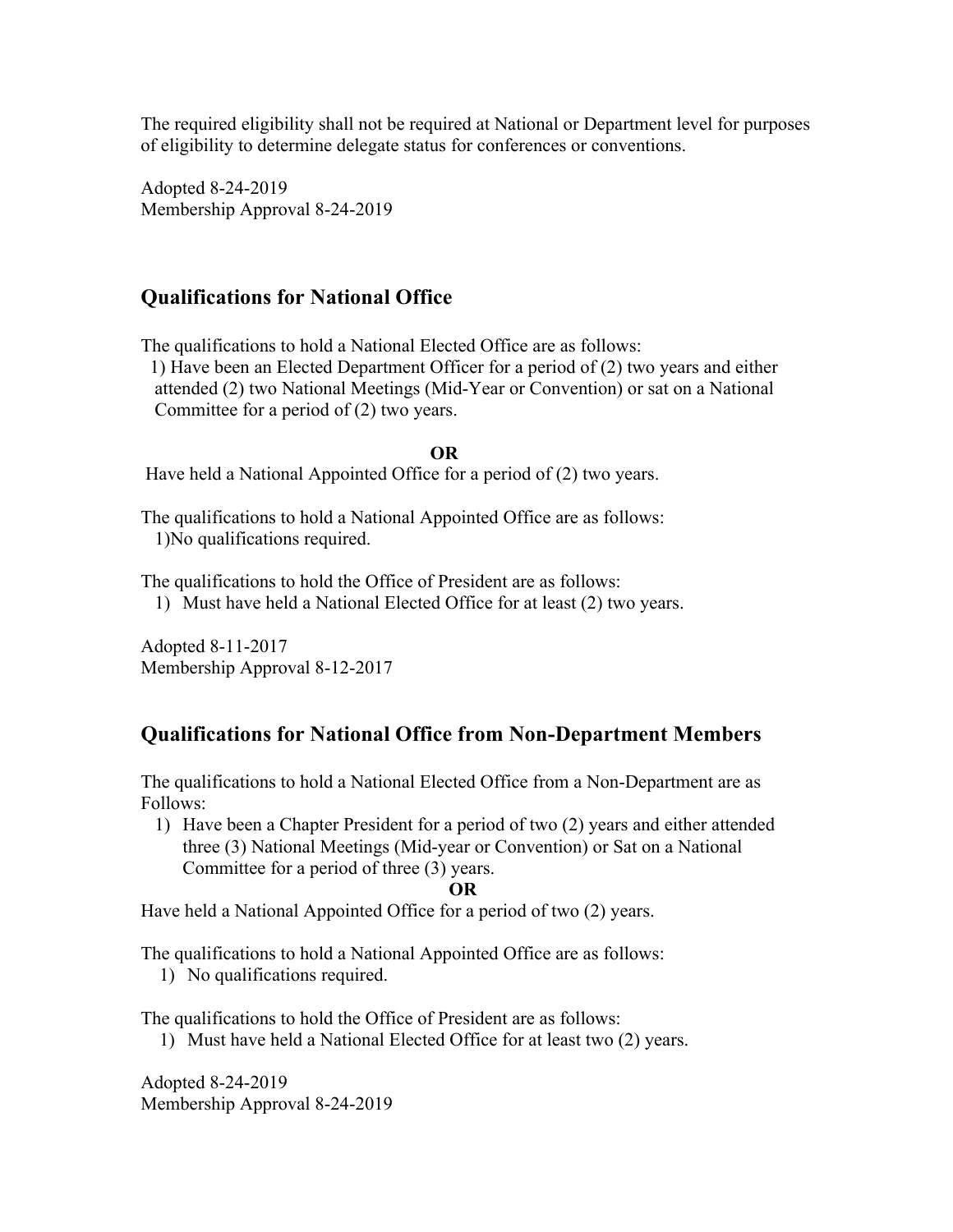The required eligibility shall not be required at National or Department level for purposes of eligibility to determine delegate status for conferences or conventions.

Adopted 8-24-2019 Membership Approval 8-24-2019

## **Qualifications for National Office**

The qualifications to hold a National Elected Office are as follows:

 1) Have been an Elected Department Officer for a period of (2) two years and either attended (2) two National Meetings (Mid-Year or Convention) or sat on a National Committee for a period of (2) two years.

#### **OR**

Have held a National Appointed Office for a period of (2) two years.

The qualifications to hold a National Appointed Office are as follows: 1)No qualifications required.

The qualifications to hold the Office of President are as follows:

1) Must have held a National Elected Office for at least (2) two years.

Adopted 8-11-2017 Membership Approval 8-12-2017

## **Qualifications for National Office from Non-Department Members**

The qualifications to hold a National Elected Office from a Non-Department are as Follows:

1) Have been a Chapter President for a period of two (2) years and either attended three (3) National Meetings (Mid-year or Convention) or Sat on a National Committee for a period of three (3) years. **OR**

Have held a National Appointed Office for a period of two (2) years.

The qualifications to hold a National Appointed Office are as follows:

1) No qualifications required.

The qualifications to hold the Office of President are as follows:

1) Must have held a National Elected Office for at least two (2) years.

Adopted 8-24-2019 Membership Approval 8-24-2019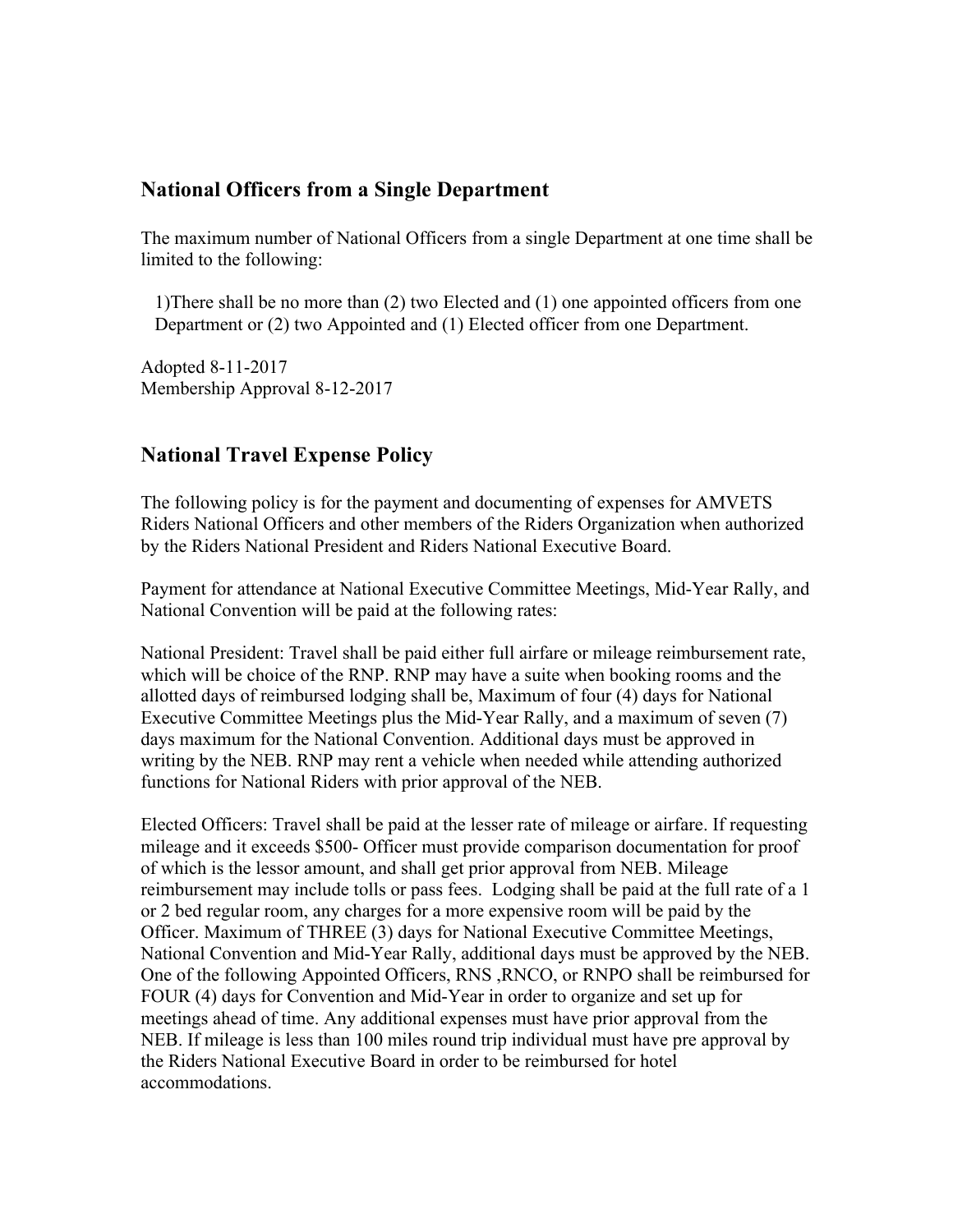### **National Officers from a Single Department**

The maximum number of National Officers from a single Department at one time shall be limited to the following:

 1)There shall be no more than (2) two Elected and (1) one appointed officers from one Department or (2) two Appointed and (1) Elected officer from one Department.

Adopted 8-11-2017 Membership Approval 8-12-2017

### **National Travel Expense Policy**

The following policy is for the payment and documenting of expenses for AMVETS Riders National Officers and other members of the Riders Organization when authorized by the Riders National President and Riders National Executive Board.

Payment for attendance at National Executive Committee Meetings, Mid-Year Rally, and National Convention will be paid at the following rates:

National President: Travel shall be paid either full airfare or mileage reimbursement rate, which will be choice of the RNP. RNP may have a suite when booking rooms and the allotted days of reimbursed lodging shall be, Maximum of four (4) days for National Executive Committee Meetings plus the Mid-Year Rally, and a maximum of seven (7) days maximum for the National Convention. Additional days must be approved in writing by the NEB. RNP may rent a vehicle when needed while attending authorized functions for National Riders with prior approval of the NEB.

Elected Officers: Travel shall be paid at the lesser rate of mileage or airfare. If requesting mileage and it exceeds \$500- Officer must provide comparison documentation for proof of which is the lessor amount, and shall get prior approval from NEB. Mileage reimbursement may include tolls or pass fees. Lodging shall be paid at the full rate of a 1 or 2 bed regular room, any charges for a more expensive room will be paid by the Officer. Maximum of THREE (3) days for National Executive Committee Meetings, National Convention and Mid-Year Rally, additional days must be approved by the NEB. One of the following Appointed Officers, RNS ,RNCO, or RNPO shall be reimbursed for FOUR (4) days for Convention and Mid-Year in order to organize and set up for meetings ahead of time. Any additional expenses must have prior approval from the NEB. If mileage is less than 100 miles round trip individual must have pre approval by the Riders National Executive Board in order to be reimbursed for hotel accommodations.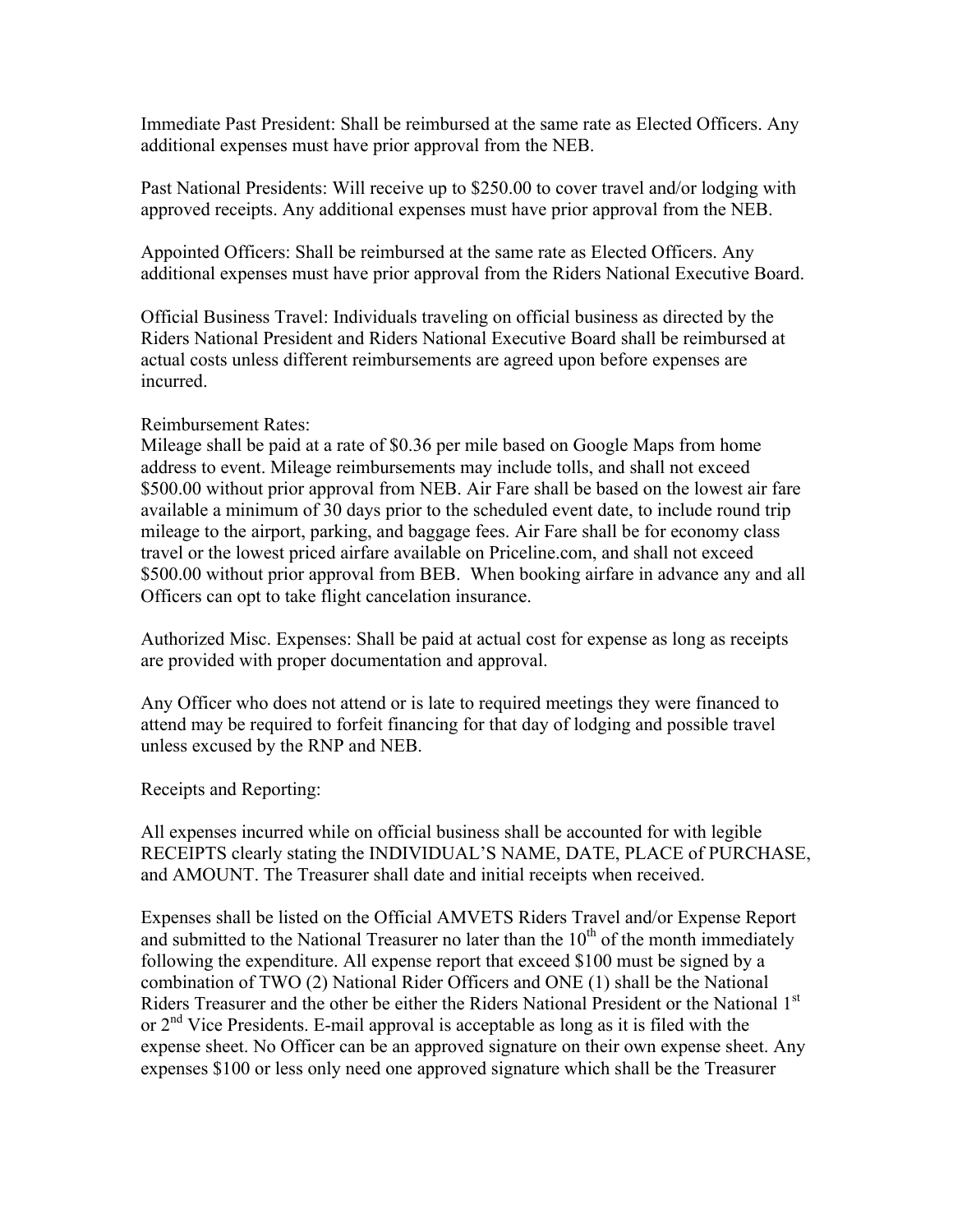Immediate Past President: Shall be reimbursed at the same rate as Elected Officers. Any additional expenses must have prior approval from the NEB.

Past National Presidents: Will receive up to \$250.00 to cover travel and/or lodging with approved receipts. Any additional expenses must have prior approval from the NEB.

Appointed Officers: Shall be reimbursed at the same rate as Elected Officers. Any additional expenses must have prior approval from the Riders National Executive Board.

Official Business Travel: Individuals traveling on official business as directed by the Riders National President and Riders National Executive Board shall be reimbursed at actual costs unless different reimbursements are agreed upon before expenses are incurred.

#### Reimbursement Rates:

Mileage shall be paid at a rate of \$0.36 per mile based on Google Maps from home address to event. Mileage reimbursements may include tolls, and shall not exceed \$500.00 without prior approval from NEB. Air Fare shall be based on the lowest air fare available a minimum of 30 days prior to the scheduled event date, to include round trip mileage to the airport, parking, and baggage fees. Air Fare shall be for economy class travel or the lowest priced airfare available on Priceline.com, and shall not exceed \$500.00 without prior approval from BEB. When booking airfare in advance any and all Officers can opt to take flight cancelation insurance.

Authorized Misc. Expenses: Shall be paid at actual cost for expense as long as receipts are provided with proper documentation and approval.

Any Officer who does not attend or is late to required meetings they were financed to attend may be required to forfeit financing for that day of lodging and possible travel unless excused by the RNP and NEB.

Receipts and Reporting:

All expenses incurred while on official business shall be accounted for with legible RECEIPTS clearly stating the INDIVIDUAL'S NAME, DATE, PLACE of PURCHASE, and AMOUNT. The Treasurer shall date and initial receipts when received.

Expenses shall be listed on the Official AMVETS Riders Travel and/or Expense Report and submitted to the National Treasurer no later than the  $10<sup>th</sup>$  of the month immediately following the expenditure. All expense report that exceed \$100 must be signed by a combination of TWO (2) National Rider Officers and ONE (1) shall be the National Riders Treasurer and the other be either the Riders National President or the National 1st or  $2<sup>nd</sup>$  Vice Presidents. E-mail approval is acceptable as long as it is filed with the expense sheet. No Officer can be an approved signature on their own expense sheet. Any expenses \$100 or less only need one approved signature which shall be the Treasurer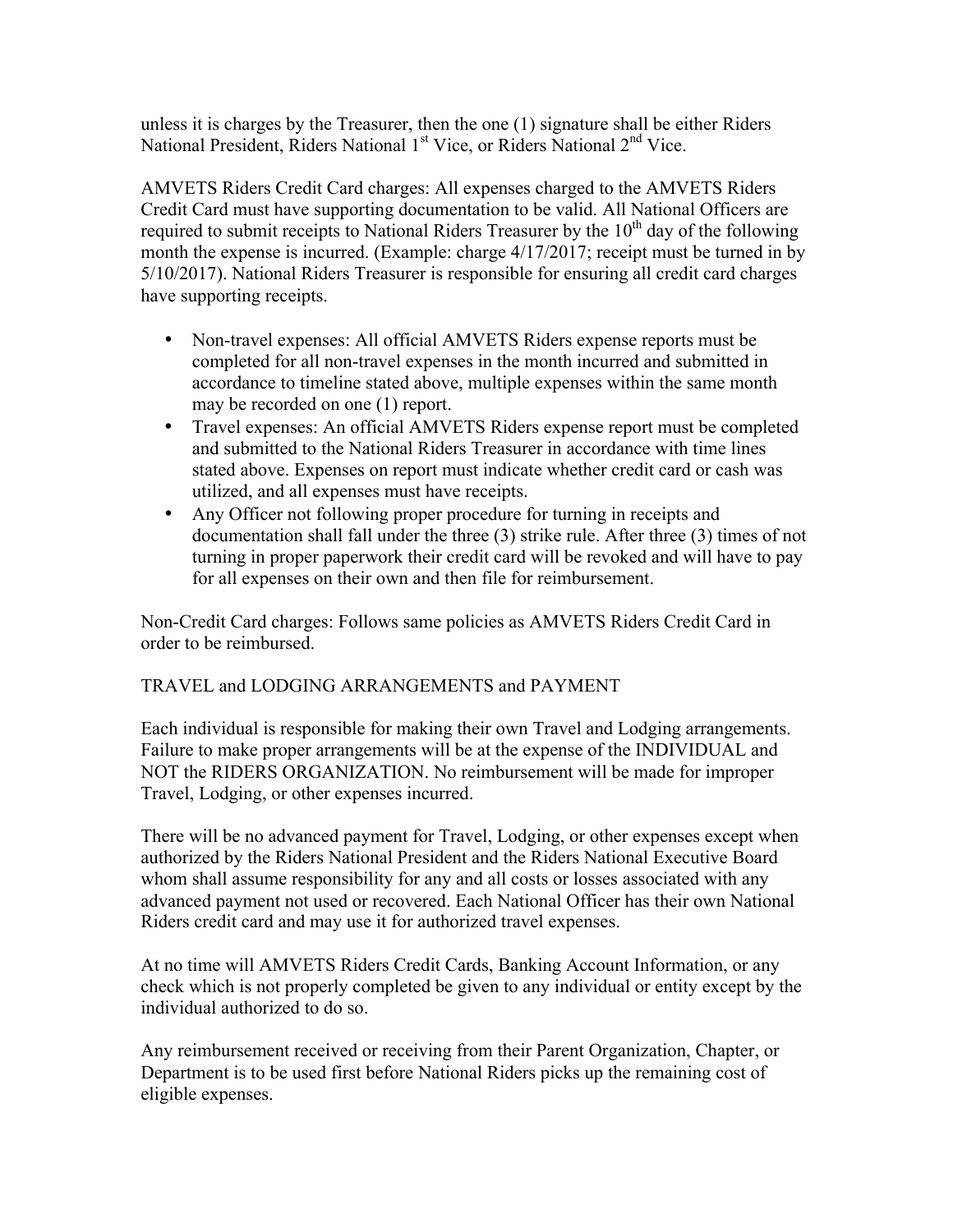unless it is charges by the Treasurer, then the one (1) signature shall be either Riders National President, Riders National 1<sup>st</sup> Vice, or Riders National 2<sup>nd</sup> Vice.

AMVETS Riders Credit Card charges: All expenses charged to the AMVETS Riders Credit Card must have supporting documentation to be valid. All National Officers are required to submit receipts to National Riders Treasurer by the  $10<sup>th</sup>$  day of the following month the expense is incurred. (Example: charge 4/17/2017; receipt must be turned in by 5/10/2017). National Riders Treasurer is responsible for ensuring all credit card charges have supporting receipts.

- Non-travel expenses: All official AMVETS Riders expense reports must be completed for all non-travel expenses in the month incurred and submitted in accordance to timeline stated above, multiple expenses within the same month may be recorded on one (1) report.
- Travel expenses: An official AMVETS Riders expense report must be completed and submitted to the National Riders Treasurer in accordance with time lines stated above. Expenses on report must indicate whether credit card or cash was utilized, and all expenses must have receipts.
- Any Officer not following proper procedure for turning in receipts and documentation shall fall under the three (3) strike rule. After three (3) times of not turning in proper paperwork their credit card will be revoked and will have to pay for all expenses on their own and then file for reimbursement.

Non-Credit Card charges: Follows same policies as AMVETS Riders Credit Card in order to be reimbursed.

### TRAVEL and LODGING ARRANGEMENTS and PAYMENT

Each individual is responsible for making their own Travel and Lodging arrangements. Failure to make proper arrangements will be at the expense of the INDIVIDUAL and NOT the RIDERS ORGANIZATION. No reimbursement will be made for improper Travel, Lodging, or other expenses incurred.

There will be no advanced payment for Travel, Lodging, or other expenses except when authorized by the Riders National President and the Riders National Executive Board whom shall assume responsibility for any and all costs or losses associated with any advanced payment not used or recovered. Each National Officer has their own National Riders credit card and may use it for authorized travel expenses.

At no time will AMVETS Riders Credit Cards, Banking Account Information, or any check which is not properly completed be given to any individual or entity except by the individual authorized to do so.

Any reimbursement received or receiving from their Parent Organization, Chapter, or Department is to be used first before National Riders picks up the remaining cost of eligible expenses.